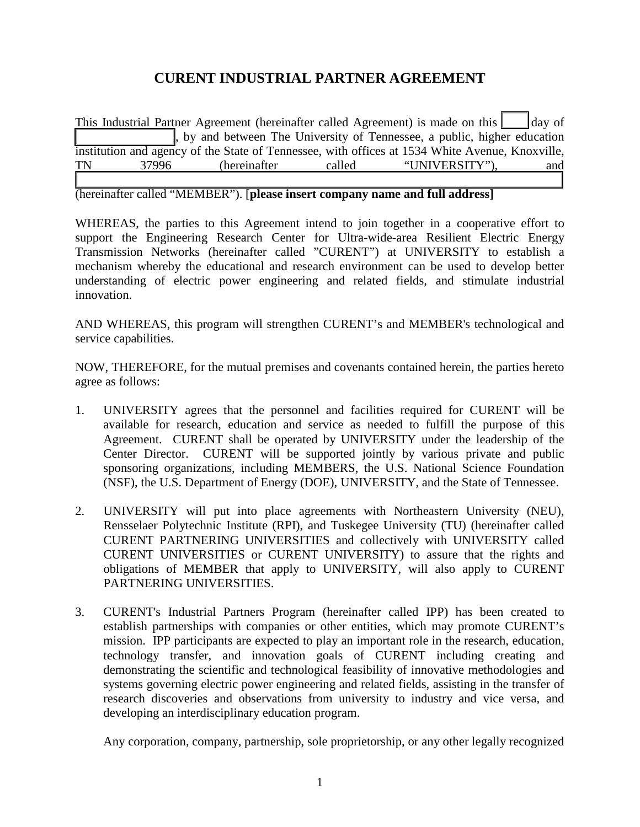## **CURENT INDUSTRIAL PARTNER AGREEMENT**

This Industrial Partner Agreement (hereinafter called Agreement) is made on this  $\vert$  day of \_\_\_\_\_\_\_\_\_\_\_\_\_\_\_\_, by and between The University of Tennessee, a public, higher education institution and agency of the State of Tennessee, with offices at 1534 White Avenue, Knoxville, TN 37996 (hereinafter called "UNIVERSITY"), and  $\mathcal{L}_\text{max} = \mathcal{L}_\text{max} = \mathcal{L}_\text{max} = \mathcal{L}_\text{max} = \mathcal{L}_\text{max} = \mathcal{L}_\text{max} = \mathcal{L}_\text{max} = \mathcal{L}_\text{max} = \mathcal{L}_\text{max} = \mathcal{L}_\text{max} = \mathcal{L}_\text{max} = \mathcal{L}_\text{max} = \mathcal{L}_\text{max} = \mathcal{L}_\text{max} = \mathcal{L}_\text{max} = \mathcal{L}_\text{max} = \mathcal{L}_\text{max} = \mathcal{L}_\text{max} = \mathcal{$ 

(hereinafter called "MEMBER"). [**please insert company name and full address]** 

WHEREAS, the parties to this Agreement intend to join together in a cooperative effort to support the Engineering Research Center for Ultra-wide-area Resilient Electric Energy Transmission Networks (hereinafter called "CURENT") at UNIVERSITY to establish a mechanism whereby the educational and research environment can be used to develop better understanding of electric power engineering and related fields, and stimulate industrial innovation.

AND WHEREAS, this program will strengthen CURENT's and MEMBER's technological and service capabilities.

NOW, THEREFORE, for the mutual premises and covenants contained herein, the parties hereto agree as follows:

- 1. UNIVERSITY agrees that the personnel and facilities required for CURENT will be available for research, education and service as needed to fulfill the purpose of this Agreement. CURENT shall be operated by UNIVERSITY under the leadership of the Center Director. CURENT will be supported jointly by various private and public sponsoring organizations, including MEMBERS, the U.S. National Science Foundation (NSF), the U.S. Department of Energy (DOE), UNIVERSITY, and the State of Tennessee.
- 2. UNIVERSITY will put into place agreements with Northeastern University (NEU), Rensselaer Polytechnic Institute (RPI), and Tuskegee University (TU) (hereinafter called CURENT PARTNERING UNIVERSITIES and collectively with UNIVERSITY called CURENT UNIVERSITIES or CURENT UNIVERSITY) to assure that the rights and obligations of MEMBER that apply to UNIVERSITY, will also apply to CURENT PARTNERING UNIVERSITIES.
- 3. CURENT's Industrial Partners Program (hereinafter called IPP) has been created to establish partnerships with companies or other entities, which may promote CURENT's mission. IPP participants are expected to play an important role in the research, education, technology transfer, and innovation goals of CURENT including creating and demonstrating the scientific and technological feasibility of innovative methodologies and systems governing electric power engineering and related fields, assisting in the transfer of research discoveries and observations from university to industry and vice versa, and developing an interdisciplinary education program.

Any corporation, company, partnership, sole proprietorship, or any other legally recognized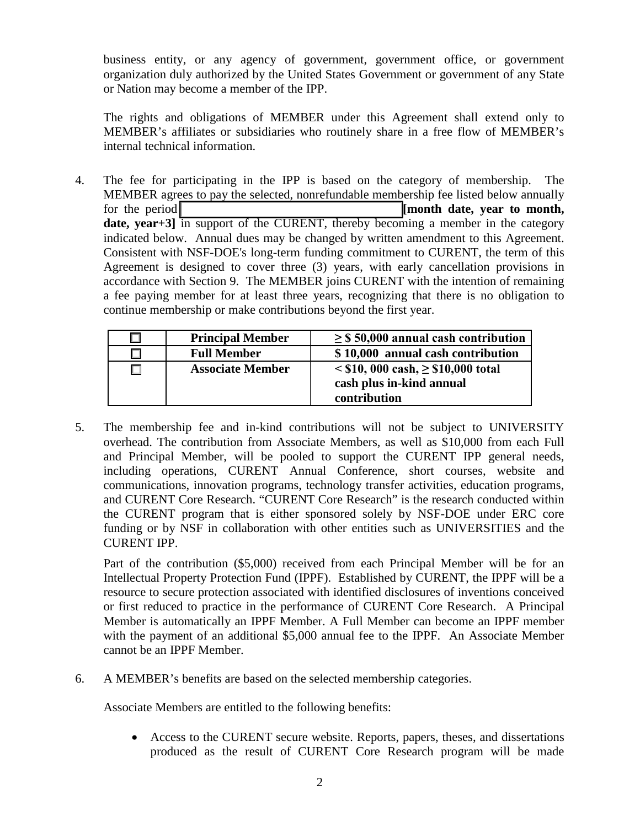business entity, or any agency of government, government office, or government organization duly authorized by the United States Government or government of any State or Nation may become a member of the IPP.

The rights and obligations of MEMBER under this Agreement shall extend only to MEMBER's affiliates or subsidiaries who routinely share in a free flow of MEMBER's internal technical information.

4. The fee for participating in the IPP is based on the category of membership. The MEMBER agrees to pay the selected, nonrefundable membership fee listed below annually for the period **the period at the period number of the period number of the set of month, month** date, year+3] in support of the CURENT, thereby becoming a member in the category indicated below. Annual dues may be changed by written amendment to this Agreement. Consistent with NSF-DOE's long-term funding commitment to CURENT, the term of this Agreement is designed to cover three (3) years, with early cancellation provisions in accordance with Section 9. The MEMBER joins CURENT with the intention of remaining a fee paying member for at least three years, recognizing that there is no obligation to continue membership or make contributions beyond the first year.

| <b>Principal Member</b> | $\geq$ \$ 50,000 annual cash contribution                                              |
|-------------------------|----------------------------------------------------------------------------------------|
| <b>Full Member</b>      | \$10,000 annual cash contribution                                                      |
| <b>Associate Member</b> | $\le$ \$10, 000 cash, $\ge$ \$10,000 total<br>cash plus in-kind annual<br>contribution |

5. The membership fee and in-kind contributions will not be subject to UNIVERSITY overhead. The contribution from Associate Members, as well as \$10,000 from each Full and Principal Member, will be pooled to support the CURENT IPP general needs, including operations, CURENT Annual Conference, short courses, website and communications, innovation programs, technology transfer activities, education programs, and CURENT Core Research. "CURENT Core Research" is the research conducted within the CURENT program that is either sponsored solely by NSF-DOE under ERC core funding or by NSF in collaboration with other entities such as UNIVERSITIES and the CURENT IPP.

Part of the contribution (\$5,000) received from each Principal Member will be for an Intellectual Property Protection Fund (IPPF). Established by CURENT, the IPPF will be a resource to secure protection associated with identified disclosures of inventions conceived or first reduced to practice in the performance of CURENT Core Research. A Principal Member is automatically an IPPF Member. A Full Member can become an IPPF member with the payment of an additional \$5,000 annual fee to the IPPF. An Associate Member cannot be an IPPF Member.

6. A MEMBER's benefits are based on the selected membership categories.

Associate Members are entitled to the following benefits:

• Access to the CURENT secure website. Reports, papers, theses, and dissertations produced as the result of CURENT Core Research program will be made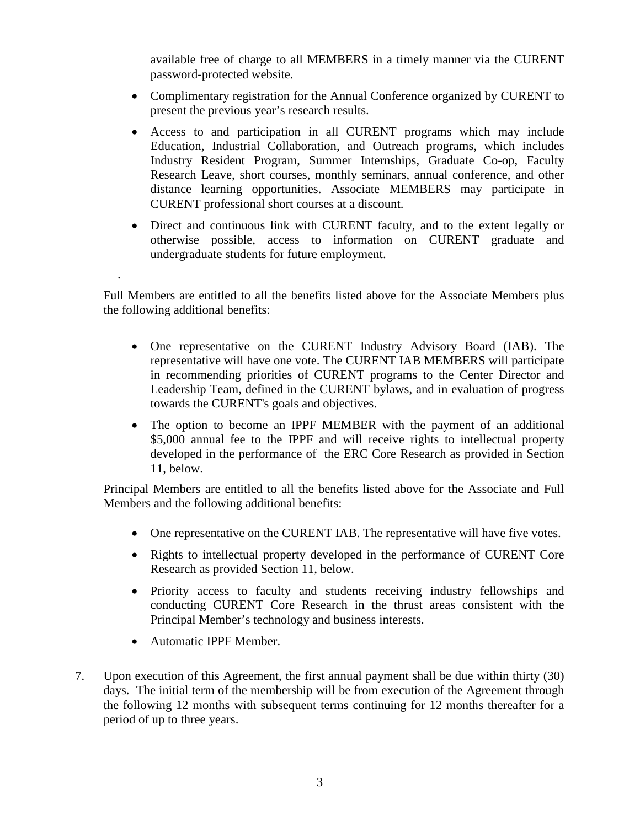available free of charge to all MEMBERS in a timely manner via the CURENT password-protected website.

- Complimentary registration for the Annual Conference organized by CURENT to present the previous year's research results.
- Access to and participation in all CURENT programs which may include Education, Industrial Collaboration, and Outreach programs, which includes Industry Resident Program, Summer Internships, Graduate Co-op, Faculty Research Leave, short courses, monthly seminars, annual conference, and other distance learning opportunities. Associate MEMBERS may participate in CURENT professional short courses at a discount.
- Direct and continuous link with CURENT faculty, and to the extent legally or otherwise possible, access to information on CURENT graduate and undergraduate students for future employment.

Full Members are entitled to all the benefits listed above for the Associate Members plus the following additional benefits:

- One representative on the CURENT Industry Advisory Board (IAB). The representative will have one vote. The CURENT IAB MEMBERS will participate in recommending priorities of CURENT programs to the Center Director and Leadership Team, defined in the CURENT bylaws, and in evaluation of progress towards the CURENT's goals and objectives.
- The option to become an IPPF MEMBER with the payment of an additional \$5,000 annual fee to the IPPF and will receive rights to intellectual property developed in the performance of the ERC Core Research as provided in Section 11, below.

Principal Members are entitled to all the benefits listed above for the Associate and Full Members and the following additional benefits:

- One representative on the CURENT IAB. The representative will have five votes.
- Rights to intellectual property developed in the performance of CURENT Core Research as provided Section 11, below.
- Priority access to faculty and students receiving industry fellowships and conducting CURENT Core Research in the thrust areas consistent with the Principal Member's technology and business interests.
- Automatic IPPF Member.

.

7. Upon execution of this Agreement, the first annual payment shall be due within thirty (30) days. The initial term of the membership will be from execution of the Agreement through the following 12 months with subsequent terms continuing for 12 months thereafter for a period of up to three years.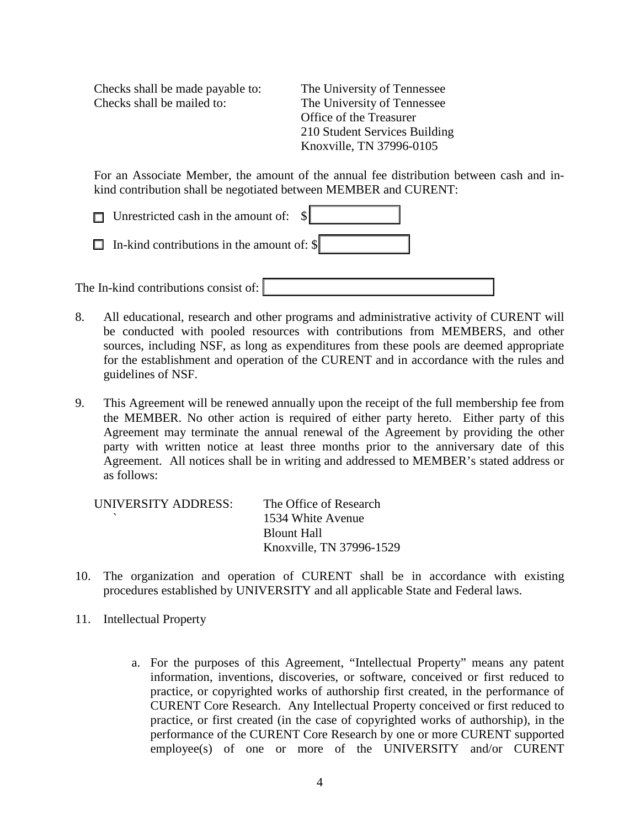Checks shall be made payable to: The University of Tennessee Checks shall be mailed to: The University of Tennessee

Office of the Treasurer 210 Student Services Building Knoxville, TN 37996-0105

For an Associate Member, the amount of the annual fee distribution between cash and inkind contribution shall be negotiated between MEMBER and CURENT:

| $\Box$ Unrestricted cash in the amount of: $\Vert \cdot \Vert$ |
|----------------------------------------------------------------|
| $\Box$ In-kind contributions in the amount of: $\parallel$     |
|                                                                |

The In-kind contributions consist of:

- 8. All educational, research and other programs and administrative activity of CURENT will be conducted with pooled resources with contributions from MEMBERS, and other sources, including NSF, as long as expenditures from these pools are deemed appropriate for the establishment and operation of the CURENT and in accordance with the rules and guidelines of NSF.
- 9. This Agreement will be renewed annually upon the receipt of the full membership fee from the MEMBER. No other action is required of either party hereto. Either party of this Agreement may terminate the annual renewal of the Agreement by providing the other party with written notice at least three months prior to the anniversary date of this Agreement. All notices shall be in writing and addressed to MEMBER's stated address or as follows:

| UNIVERSITY ADDRESS: | The Office of Research   |
|---------------------|--------------------------|
|                     | 1534 White Avenue        |
|                     | Blount Hall              |
|                     | Knoxville, TN 37996-1529 |

- 10. The organization and operation of CURENT shall be in accordance with existing procedures established by UNIVERSITY and all applicable State and Federal laws.
- 11. Intellectual Property
	- a. For the purposes of this Agreement, "Intellectual Property" means any patent information, inventions, discoveries, or software, conceived or first reduced to practice, or copyrighted works of authorship first created, in the performance of CURENT Core Research. Any Intellectual Property conceived or first reduced to practice, or first created (in the case of copyrighted works of authorship), in the performance of the CURENT Core Research by one or more CURENT supported employee(s) of one or more of the UNIVERSITY and/or CURENT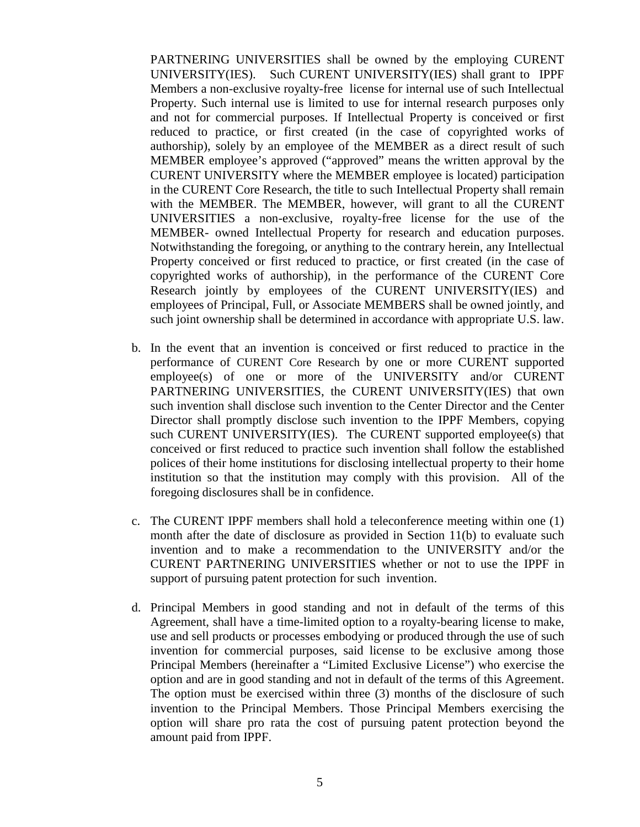PARTNERING UNIVERSITIES shall be owned by the employing CURENT UNIVERSITY(IES). Such CURENT UNIVERSITY(IES) shall grant to IPPF Members a non-exclusive royalty-free license for internal use of such Intellectual Property. Such internal use is limited to use for internal research purposes only and not for commercial purposes. If Intellectual Property is conceived or first reduced to practice, or first created (in the case of copyrighted works of authorship), solely by an employee of the MEMBER as a direct result of such MEMBER employee's approved ("approved" means the written approval by the CURENT UNIVERSITY where the MEMBER employee is located) participation in the CURENT Core Research, the title to such Intellectual Property shall remain with the MEMBER. The MEMBER, however, will grant to all the CURENT UNIVERSITIES a non-exclusive, royalty-free license for the use of the MEMBER- owned Intellectual Property for research and education purposes. Notwithstanding the foregoing, or anything to the contrary herein, any Intellectual Property conceived or first reduced to practice, or first created (in the case of copyrighted works of authorship), in the performance of the CURENT Core Research jointly by employees of the CURENT UNIVERSITY(IES) and employees of Principal, Full, or Associate MEMBERS shall be owned jointly, and such joint ownership shall be determined in accordance with appropriate U.S. law.

- b. In the event that an invention is conceived or first reduced to practice in the performance of CURENT Core Research by one or more CURENT supported employee(s) of one or more of the UNIVERSITY and/or CURENT PARTNERING UNIVERSITIES, the CURENT UNIVERSITY(IES) that own such invention shall disclose such invention to the Center Director and the Center Director shall promptly disclose such invention to the IPPF Members, copying such CURENT UNIVERSITY(IES). The CURENT supported employee(s) that conceived or first reduced to practice such invention shall follow the established polices of their home institutions for disclosing intellectual property to their home institution so that the institution may comply with this provision. All of the foregoing disclosures shall be in confidence.
- c. The CURENT IPPF members shall hold a teleconference meeting within one (1) month after the date of disclosure as provided in Section 11(b) to evaluate such invention and to make a recommendation to the UNIVERSITY and/or the CURENT PARTNERING UNIVERSITIES whether or not to use the IPPF in support of pursuing patent protection for such invention.
- d. Principal Members in good standing and not in default of the terms of this Agreement, shall have a time-limited option to a royalty-bearing license to make, use and sell products or processes embodying or produced through the use of such invention for commercial purposes, said license to be exclusive among those Principal Members (hereinafter a "Limited Exclusive License") who exercise the option and are in good standing and not in default of the terms of this Agreement. The option must be exercised within three (3) months of the disclosure of such invention to the Principal Members. Those Principal Members exercising the option will share pro rata the cost of pursuing patent protection beyond the amount paid from IPPF.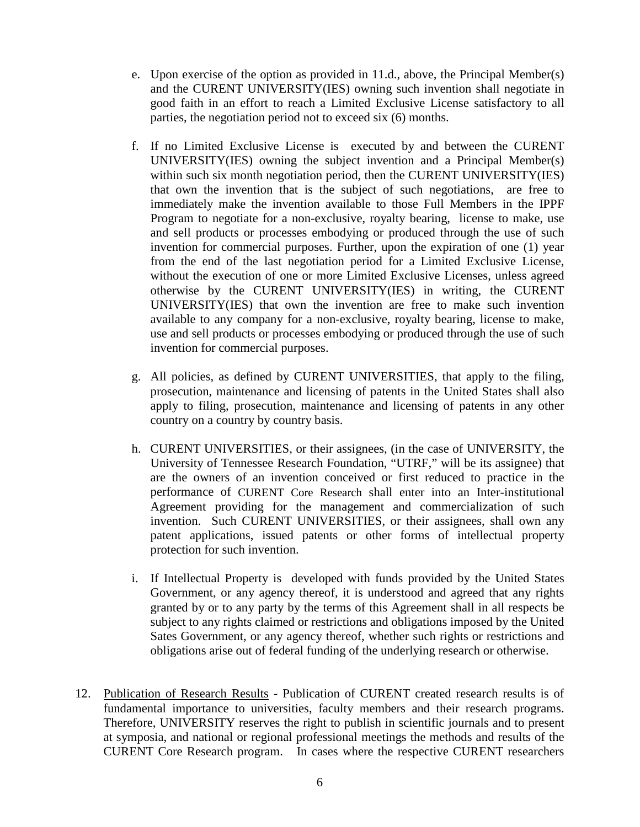- e. Upon exercise of the option as provided in 11.d., above, the Principal Member(s) and the CURENT UNIVERSITY(IES) owning such invention shall negotiate in good faith in an effort to reach a Limited Exclusive License satisfactory to all parties, the negotiation period not to exceed six (6) months.
- f. If no Limited Exclusive License is executed by and between the CURENT UNIVERSITY(IES) owning the subject invention and a Principal Member(s) within such six month negotiation period, then the CURENT UNIVERSITY(IES) that own the invention that is the subject of such negotiations, are free to immediately make the invention available to those Full Members in the IPPF Program to negotiate for a non-exclusive, royalty bearing, license to make, use and sell products or processes embodying or produced through the use of such invention for commercial purposes. Further, upon the expiration of one (1) year from the end of the last negotiation period for a Limited Exclusive License, without the execution of one or more Limited Exclusive Licenses, unless agreed otherwise by the CURENT UNIVERSITY(IES) in writing, the CURENT UNIVERSITY(IES) that own the invention are free to make such invention available to any company for a non-exclusive, royalty bearing, license to make, use and sell products or processes embodying or produced through the use of such invention for commercial purposes.
- g. All policies, as defined by CURENT UNIVERSITIES, that apply to the filing, prosecution, maintenance and licensing of patents in the United States shall also apply to filing, prosecution, maintenance and licensing of patents in any other country on a country by country basis.
- h. CURENT UNIVERSITIES, or their assignees, (in the case of UNIVERSITY, the University of Tennessee Research Foundation, "UTRF," will be its assignee) that are the owners of an invention conceived or first reduced to practice in the performance of CURENT Core Research shall enter into an Inter-institutional Agreement providing for the management and commercialization of such invention. Such CURENT UNIVERSITIES, or their assignees, shall own any patent applications, issued patents or other forms of intellectual property protection for such invention.
- i. If Intellectual Property is developed with funds provided by the United States Government, or any agency thereof, it is understood and agreed that any rights granted by or to any party by the terms of this Agreement shall in all respects be subject to any rights claimed or restrictions and obligations imposed by the United Sates Government, or any agency thereof, whether such rights or restrictions and obligations arise out of federal funding of the underlying research or otherwise.
- 12. Publication of Research Results Publication of CURENT created research results is of fundamental importance to universities, faculty members and their research programs. Therefore, UNIVERSITY reserves the right to publish in scientific journals and to present at symposia, and national or regional professional meetings the methods and results of the CURENT Core Research program. In cases where the respective CURENT researchers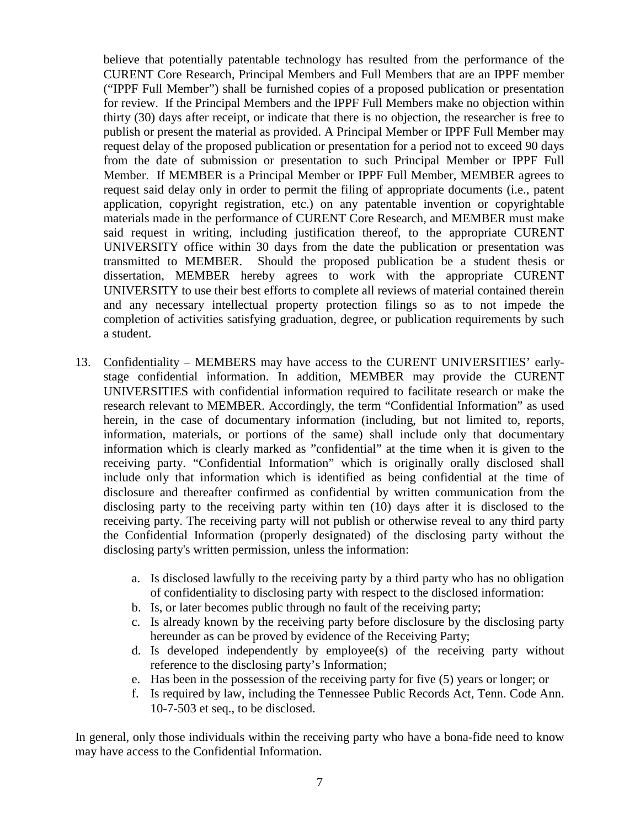believe that potentially patentable technology has resulted from the performance of the CURENT Core Research, Principal Members and Full Members that are an IPPF member ("IPPF Full Member") shall be furnished copies of a proposed publication or presentation for review. If the Principal Members and the IPPF Full Members make no objection within thirty (30) days after receipt, or indicate that there is no objection, the researcher is free to publish or present the material as provided. A Principal Member or IPPF Full Member may request delay of the proposed publication or presentation for a period not to exceed 90 days from the date of submission or presentation to such Principal Member or IPPF Full Member. If MEMBER is a Principal Member or IPPF Full Member, MEMBER agrees to request said delay only in order to permit the filing of appropriate documents (i.e., patent application, copyright registration, etc.) on any patentable invention or copyrightable materials made in the performance of CURENT Core Research, and MEMBER must make said request in writing, including justification thereof, to the appropriate CURENT UNIVERSITY office within 30 days from the date the publication or presentation was transmitted to MEMBER. Should the proposed publication be a student thesis or dissertation, MEMBER hereby agrees to work with the appropriate CURENT UNIVERSITY to use their best efforts to complete all reviews of material contained therein and any necessary intellectual property protection filings so as to not impede the completion of activities satisfying graduation, degree, or publication requirements by such a student.

- 13. Confidentiality MEMBERS may have access to the CURENT UNIVERSITIES' earlystage confidential information. In addition, MEMBER may provide the CURENT UNIVERSITIES with confidential information required to facilitate research or make the research relevant to MEMBER. Accordingly, the term "Confidential Information" as used herein, in the case of documentary information (including, but not limited to, reports, information, materials, or portions of the same) shall include only that documentary information which is clearly marked as "confidential" at the time when it is given to the receiving party. "Confidential Information" which is originally orally disclosed shall include only that information which is identified as being confidential at the time of disclosure and thereafter confirmed as confidential by written communication from the disclosing party to the receiving party within ten (10) days after it is disclosed to the receiving party. The receiving party will not publish or otherwise reveal to any third party the Confidential Information (properly designated) of the disclosing party without the disclosing party's written permission, unless the information:
	- a. Is disclosed lawfully to the receiving party by a third party who has no obligation of confidentiality to disclosing party with respect to the disclosed information:
	- b. Is, or later becomes public through no fault of the receiving party;
	- c. Is already known by the receiving party before disclosure by the disclosing party hereunder as can be proved by evidence of the Receiving Party;
	- d. Is developed independently by employee(s) of the receiving party without reference to the disclosing party's Information;
	- e. Has been in the possession of the receiving party for five (5) years or longer; or
	- f. Is required by law, including the Tennessee Public Records Act, Tenn. Code Ann. 10-7-503 et seq., to be disclosed.

In general, only those individuals within the receiving party who have a bona-fide need to know may have access to the Confidential Information.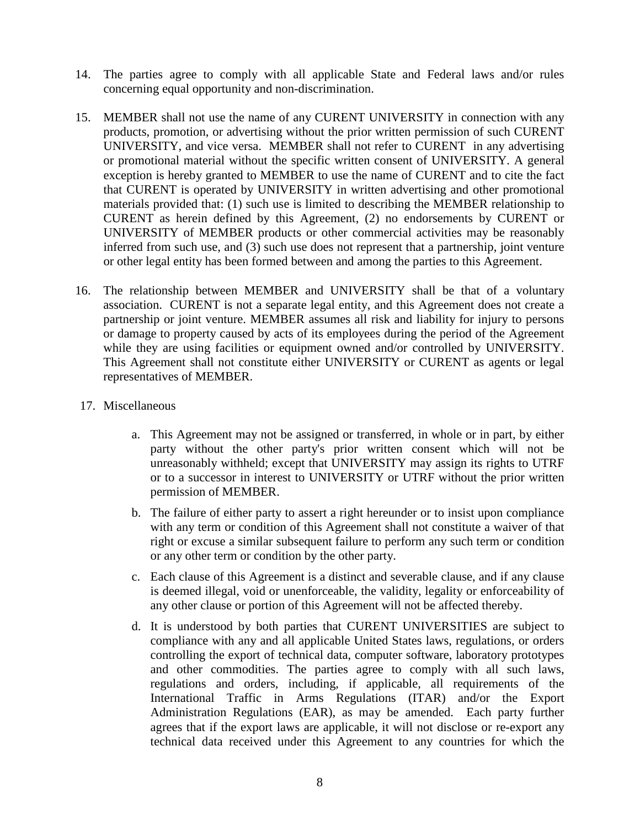- 14. The parties agree to comply with all applicable State and Federal laws and/or rules concerning equal opportunity and non-discrimination.
- 15. MEMBER shall not use the name of any CURENT UNIVERSITY in connection with any products, promotion, or advertising without the prior written permission of such CURENT UNIVERSITY, and vice versa. MEMBER shall not refer to CURENT in any advertising or promotional material without the specific written consent of UNIVERSITY. A general exception is hereby granted to MEMBER to use the name of CURENT and to cite the fact that CURENT is operated by UNIVERSITY in written advertising and other promotional materials provided that: (1) such use is limited to describing the MEMBER relationship to CURENT as herein defined by this Agreement, (2) no endorsements by CURENT or UNIVERSITY of MEMBER products or other commercial activities may be reasonably inferred from such use, and (3) such use does not represent that a partnership, joint venture or other legal entity has been formed between and among the parties to this Agreement.
- 16. The relationship between MEMBER and UNIVERSITY shall be that of a voluntary association. CURENT is not a separate legal entity, and this Agreement does not create a partnership or joint venture. MEMBER assumes all risk and liability for injury to persons or damage to property caused by acts of its employees during the period of the Agreement while they are using facilities or equipment owned and/or controlled by UNIVERSITY. This Agreement shall not constitute either UNIVERSITY or CURENT as agents or legal representatives of MEMBER.
- 17. Miscellaneous
	- a. This Agreement may not be assigned or transferred, in whole or in part, by either party without the other party's prior written consent which will not be unreasonably withheld; except that UNIVERSITY may assign its rights to UTRF or to a successor in interest to UNIVERSITY or UTRF without the prior written permission of MEMBER.
	- b. The failure of either party to assert a right hereunder or to insist upon compliance with any term or condition of this Agreement shall not constitute a waiver of that right or excuse a similar subsequent failure to perform any such term or condition or any other term or condition by the other party.
	- c. Each clause of this Agreement is a distinct and severable clause, and if any clause is deemed illegal, void or unenforceable, the validity, legality or enforceability of any other clause or portion of this Agreement will not be affected thereby.
	- d. It is understood by both parties that CURENT UNIVERSITIES are subject to compliance with any and all applicable United States laws, regulations, or orders controlling the export of technical data, computer software, laboratory prototypes and other commodities. The parties agree to comply with all such laws, regulations and orders, including, if applicable, all requirements of the International Traffic in Arms Regulations (ITAR) and/or the Export Administration Regulations (EAR), as may be amended. Each party further agrees that if the export laws are applicable, it will not disclose or re-export any technical data received under this Agreement to any countries for which the